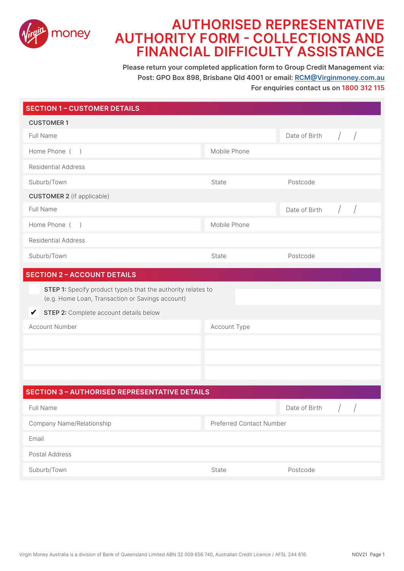

### **AUTHORISED REPRESENTATIVE AUTHORITY FORM - COLLECTIONS AND FINANCIAL DIFFICULTY ASSISTANCE**

**Please return your completed application form to Group Credit Management via: Post: GPO Box 898, Brisbane Qld 4001 or email: RCM@Virginmoney.com.au For enquiries contact us on 1800 312 115**

| <b>SECTION 1 - CUSTOMER DETAILS</b>                                                                              |                          |                                              |
|------------------------------------------------------------------------------------------------------------------|--------------------------|----------------------------------------------|
| <b>CUSTOMER1</b>                                                                                                 |                          |                                              |
| Full Name                                                                                                        |                          | Date of Birth                                |
| Home Phone ()                                                                                                    | Mobile Phone             |                                              |
| <b>Residential Address</b>                                                                                       |                          |                                              |
| Suburb/Town                                                                                                      | State                    | Postcode                                     |
| <b>CUSTOMER 2</b> (if applicable)                                                                                |                          |                                              |
| Full Name                                                                                                        |                          | Date of Birth                                |
| Home Phone ()                                                                                                    | Mobile Phone             |                                              |
| <b>Residential Address</b>                                                                                       |                          |                                              |
| Suburb/Town                                                                                                      | State                    | Postcode                                     |
| <b>SECTION 2 - ACCOUNT DETAILS</b>                                                                               |                          |                                              |
| STEP 1: Specify product type/s that the authority relates to<br>(e.g. Home Loan, Transaction or Savings account) |                          |                                              |
| STEP 2: Complete account details below<br>V                                                                      |                          |                                              |
| <b>Account Number</b>                                                                                            | Account Type             |                                              |
|                                                                                                                  |                          |                                              |
|                                                                                                                  |                          |                                              |
|                                                                                                                  |                          |                                              |
| <b>SECTION 3 - AUTHORISED REPRESENTATIVE DETAILS</b>                                                             |                          |                                              |
| Full Name                                                                                                        |                          | $\sqrt{ }$<br>$\frac{1}{2}$<br>Date of Birth |
|                                                                                                                  |                          |                                              |
| Company Name/Relationship                                                                                        | Preferred Contact Number |                                              |
| Email                                                                                                            |                          |                                              |
| Postal Address                                                                                                   |                          |                                              |
| Suburb/Town                                                                                                      | State                    | Postcode                                     |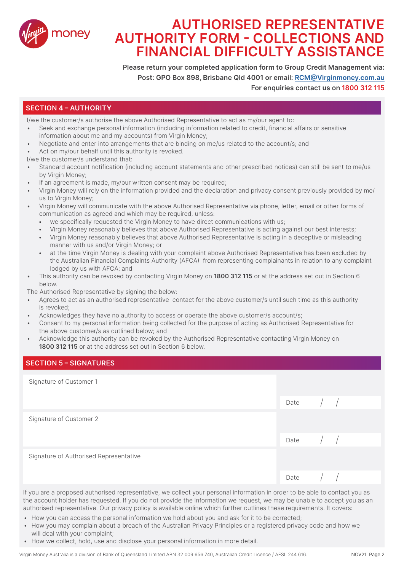

# **AUTHORISED REPRESENTATIVE AUTHORITY FORM - COLLECTIONS AND FINANCIAL DIFFICULTY ASSISTANCE**

**Please return your completed application form to Group Credit Management via: Post: GPO Box 898, Brisbane Qld 4001 or email: RCM@Virginmoney.com.au For enquiries contact us on 1800 312 115**

#### **SECTION 4 – AUTHORITY**

I/we the customer/s authorise the above Authorised Representative to act as my/our agent to:

- Seek and exchange personal information (including information related to credit, financial affairs or sensitive information about me and my accounts) from Virgin Money;
- Negotiate and enter into arrangements that are binding on me/us related to the account/s; and
- Act on my/our behalf until this authority is revoked.

I/we the customer/s understand that:

- Standard account notification (including account statements and other prescribed notices) can still be sent to me/us by Virgin Money;
- If an agreement is made, my/our written consent may be required:
- Virgin Money will rely on the information provided and the declaration and privacy consent previously provided by me/ us to Virgin Money;
- Virgin Money will communicate with the above Authorised Representative via phone, letter, email or other forms of communication as agreed and which may be required, unless:
	- we specifically requested the Virgin Money to have direct communications with us;
	- Virgin Money reasonably believes that above Authorised Representative is acting against our best interests;
	- Virgin Money reasonably believes that above Authorised Representative is acting in a deceptive or misleading manner with us and/or Virgin Money; or
	- at the time Virgin Money is dealing with your complaint above Authorised Representative has been excluded by the Australian Financial Complaints Authority (AFCA) from representing complainants in relation to any complaint lodged by us with AFCA; and
- This authority can be revoked by contacting Virgin Money on **1800 312 115** or at the address set out in Section 6 below.

The Authorised Representative by signing the below:

- Agrees to act as an authorised representative contact for the above customer/s until such time as this authority is revoked;
- Acknowledges they have no authority to access or operate the above customer/s account/s;
- Consent to my personal information being collected for the purpose of acting as Authorised Representative for the above customer/s as outlined below; and
- Acknowledge this authority can be revoked by the Authorised Representative contacting Virgin Money on **1800 312 115** or at the address set out in Section 6 below.

#### **SECTION 5 – SIGNATURES**

Signature of Customer 1

|                                        | Date $/$ /                                          |  |
|----------------------------------------|-----------------------------------------------------|--|
| Signature of Customer 2                |                                                     |  |
|                                        | Date $\left  \begin{array}{cc} \end{array} \right $ |  |
| Signature of Authorised Representative |                                                     |  |
|                                        | Date $\left( \begin{array}{cc} \end{array} \right)$ |  |

If you are a proposed authorised representative, we collect your personal information in order to be able to contact you as the account holder has requested. If you do not provide the information we request, we may be unable to accept you as an authorised representative. Our privacy policy is available online which further outlines these requirements. It covers:

- How you can access the personal information we hold about you and ask for it to be corrected;
- How you may complain about a breach of the Australian Privacy Principles or a registered privacy code and how we will deal with your complaint;
- How we collect, hold, use and disclose your personal information in more detail.